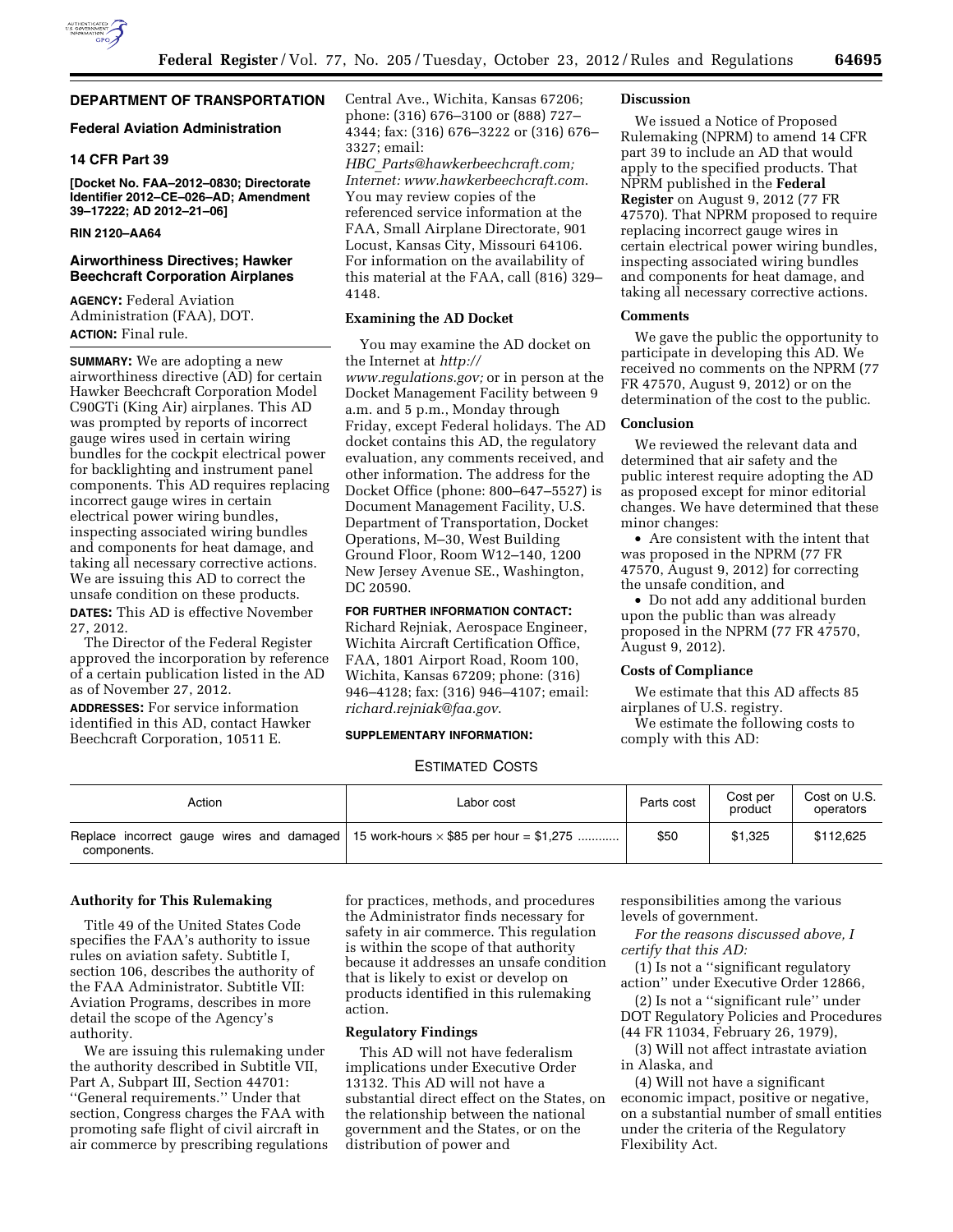# **DEPARTMENT OF TRANSPORTATION**

# **Federal Aviation Administration**

# **14 CFR Part 39**

**[Docket No. FAA–2012–0830; Directorate Identifier 2012–CE–026–AD; Amendment 39–17222; AD 2012–21–06]** 

# **RIN 2120–AA64**

# **Airworthiness Directives; Hawker Beechcraft Corporation Airplanes**

**AGENCY:** Federal Aviation Administration (FAA), DOT. **ACTION:** Final rule.

**SUMMARY:** We are adopting a new airworthiness directive (AD) for certain Hawker Beechcraft Corporation Model C90GTi (King Air) airplanes. This AD was prompted by reports of incorrect gauge wires used in certain wiring bundles for the cockpit electrical power for backlighting and instrument panel components. This AD requires replacing incorrect gauge wires in certain electrical power wiring bundles, inspecting associated wiring bundles and components for heat damage, and taking all necessary corrective actions. We are issuing this AD to correct the unsafe condition on these products.

**DATES:** This AD is effective November 27, 2012.

The Director of the Federal Register approved the incorporation by reference of a certain publication listed in the AD as of November 27, 2012.

**ADDRESSES:** For service information identified in this AD, contact Hawker Beechcraft Corporation, 10511 E.

Central Ave., Wichita, Kansas 67206; phone: (316) 676–3100 or (888) 727– 4344; fax: (316) 676–3222 or (316) 676– 3327; email:

*HBC*\_*[Parts@hawkerbeechcraft.com;](mailto:HBC_Parts@hawkerbeechcraft.com)  Internet: [www.hawkerbeechcraft.com](http://www.hawkerbeechcraft.com)*. You may review copies of the referenced service information at the FAA, Small Airplane Directorate, 901 Locust, Kansas City, Missouri 64106. For information on the availability of this material at the FAA, call (816) 329– 4148.

### **Examining the AD Docket**

You may examine the AD docket on the Internet at *[http://](http://www.regulations.gov)  [www.regulations.gov;](http://www.regulations.gov)* or in person at the Docket Management Facility between 9 a.m. and 5 p.m., Monday through Friday, except Federal holidays. The AD docket contains this AD, the regulatory evaluation, any comments received, and other information. The address for the Docket Office (phone: 800–647–5527) is Document Management Facility, U.S. Department of Transportation, Docket Operations, M–30, West Building Ground Floor, Room W12–140, 1200 New Jersey Avenue SE., Washington, DC 20590.

# **FOR FURTHER INFORMATION CONTACT:**

Richard Rejniak, Aerospace Engineer, Wichita Aircraft Certification Office, FAA, 1801 Airport Road, Room 100, Wichita, Kansas 67209; phone: (316) 946–4128; fax: (316) 946–4107; email: *[richard.rejniak@faa.gov](mailto:richard.rejniak@faa.gov)*.

# **SUPPLEMENTARY INFORMATION:**

# ESTIMATED COSTS

| Action                                                                                                  | Labor cost | Parts cost | Cost per<br>product | Cost on U.S.<br>operators |
|---------------------------------------------------------------------------------------------------------|------------|------------|---------------------|---------------------------|
| Replace incorrect gauge wires and damaged 15 work-hours $\times$ \$85 per hour = \$1,275<br>components. |            | \$50       | \$1.325             | \$112,625                 |

## **Authority for This Rulemaking**

Title 49 of the United States Code specifies the FAA's authority to issue rules on aviation safety. Subtitle I, section 106, describes the authority of the FAA Administrator. Subtitle VII: Aviation Programs, describes in more detail the scope of the Agency's authority.

We are issuing this rulemaking under the authority described in Subtitle VII, Part A, Subpart III, Section 44701: ''General requirements.'' Under that section, Congress charges the FAA with promoting safe flight of civil aircraft in air commerce by prescribing regulations for practices, methods, and procedures the Administrator finds necessary for safety in air commerce. This regulation is within the scope of that authority because it addresses an unsafe condition that is likely to exist or develop on products identified in this rulemaking action.

# **Regulatory Findings**

This AD will not have federalism implications under Executive Order 13132. This AD will not have a substantial direct effect on the States, on the relationship between the national government and the States, or on the distribution of power and

responsibilities among the various levels of government.

*For the reasons discussed above, I certify that this AD:* 

(1) Is not a ''significant regulatory action'' under Executive Order 12866,

(2) Is not a ''significant rule'' under DOT Regulatory Policies and Procedures (44 FR 11034, February 26, 1979),

(3) Will not affect intrastate aviation in Alaska, and

(4) Will not have a significant economic impact, positive or negative, on a substantial number of small entities under the criteria of the Regulatory Flexibility Act.

### **Discussion**

We issued a Notice of Proposed Rulemaking (NPRM) to amend 14 CFR part 39 to include an AD that would apply to the specified products. That NPRM published in the **Federal Register** on August 9, 2012 (77 FR 47570). That NPRM proposed to require replacing incorrect gauge wires in certain electrical power wiring bundles, inspecting associated wiring bundles and components for heat damage, and taking all necessary corrective actions.

## **Comments**

We gave the public the opportunity to participate in developing this AD. We received no comments on the NPRM (77 FR 47570, August 9, 2012) or on the determination of the cost to the public.

#### **Conclusion**

We reviewed the relevant data and determined that air safety and the public interest require adopting the AD as proposed except for minor editorial changes. We have determined that these minor changes:

• Are consistent with the intent that was proposed in the NPRM (77 FR 47570, August 9, 2012) for correcting the unsafe condition, and

• Do not add any additional burden upon the public than was already proposed in the NPRM (77 FR 47570, August 9, 2012).

#### **Costs of Compliance**

We estimate that this AD affects 85 airplanes of U.S. registry.

We estimate the following costs to comply with this AD: